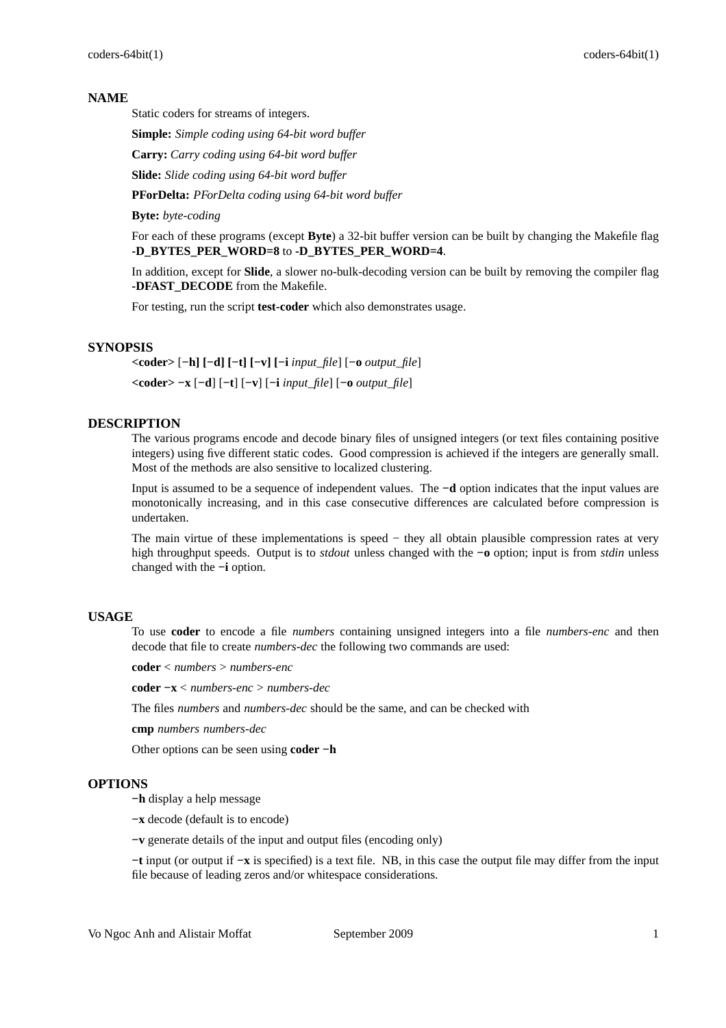#### **NAME**

Static coders for streams of integers.

**Simple:** *Simple coding using 64-bit word buffer*

**Carry:** *Carry coding using 64-bit word buffer*

**Slide:** *Slide coding using 64-bit word buffer*

**PForDelta:** *PForDelta coding using 64-bit word buffer*

**Byte:** *byte-coding*

For each of these programs (except **Byte**) a 32-bit buffer version can be built by changing the Makefile flag **-D\_BYTES\_PER\_WORD=8** to **-D\_BYTES\_PER\_WORD=4**.

In addition, except for **Slide**, a slower no-bulk-decoding version can be built by removing the compiler flag **-DFAST\_DECODE** from the Makefile.

For testing, run the script **test-coder** which also demonstrates usage.

## **SYNOPSIS**

**<coder>** [**−h] [−d] [−t] [−v] [−i** *input\_file*] [**−o** *output\_file*] **<coder> −x** [**−d**] [**−t**] [**−v**] [**−i** *input\_file*] [**−o** *output\_file*]

# **DESCRIPTION**

The various programs encode and decode binary files of unsigned integers (or text files containing positive integers) using five different static codes. Good compression is achieved if the integers are generally small. Most of the methods are also sensitive to localized clustering.

Input is assumed to be a sequence of independent values. The **−d** option indicates that the input values are monotonically increasing, and in this case consecutive differences are calculated before compression is undertaken.

The main virtue of these implementations is speed – they all obtain plausible compression rates at very high throughput speeds. Output is to *stdout* unless changed with the **−o** option; input is from *stdin* unless changed with the **−i** option.

#### **USAGE**

To use **coder** to encode a file *numbers* containing unsigned integers into a file *numbers-enc* and then decode that file to create *numbers-dec* the following two commands are used:

**coder** < *numbers* > *numbers-enc*

**coder −x** < *numbers-enc* > *numbers-dec*

The files *numbers* and *numbers-dec* should be the same, and can be checked with

**cmp** *numbers numbers-dec*

Other options can be seen using **coder −h**

#### **OPTIONS**

**−h** display a help message

**−x** decode (default is to encode)

**−v** generate details of the input and output files (encoding only)

**−t** input (or output if **−x** is specified) is a text file. NB, in this case the output file may differ from the input file because of leading zeros and/or whitespace considerations.